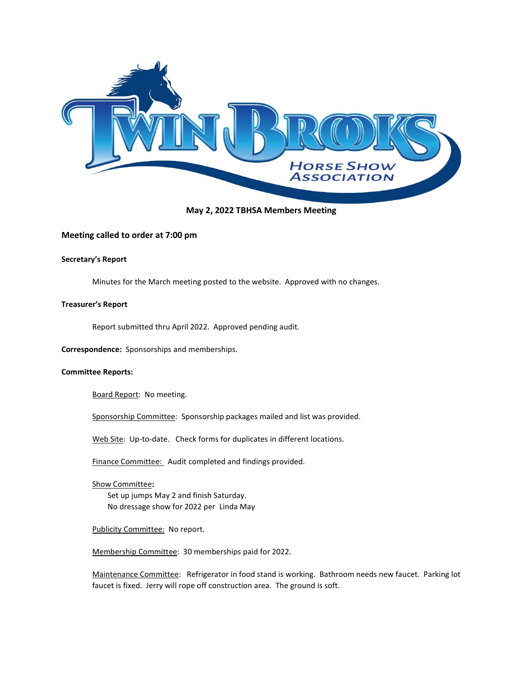

# May 2, 2022 TBHSA Members Meeting

# Meeting called to order at 7:00 pm

### Secretary's Report

Minutes for the March meeting posted to the website. Approved with no changes.

### Treasurer's Report

Report submitted thru April 2022. Approved pending audit.

Correspondence: Sponsorships and memberships.

#### Committee Reports:

Board Report: No meeting.

Sponsorship Committee: Sponsorship packages mailed and list was provided.

Web Site: Up-to-date. Check forms for duplicates in different locations.

Finance Committee: Audit completed and findings provided.

Show Committee: Set up jumps May 2 and finish Saturday. No dressage show for 2022 per Linda May

#### Publicity Committee: No report.

Membership Committee: 30 memberships paid for 2022.

Maintenance Committee: Refrigerator in food stand is working. Bathroom needs new faucet. Parking lot faucet is fixed. Jerry will rope off construction area. The ground is soft.